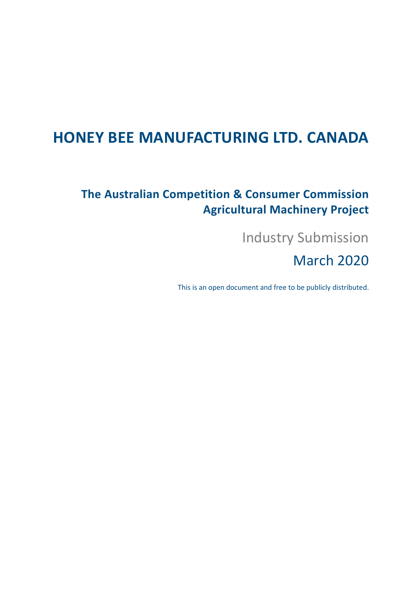# **HONEY BEE MANUFACTURING LTD. CANADA**

## **The Australian Competition & Consumer Commission Agricultural Machinery Project**

Industry Submission

March 2020

This is an open document and free to be publicly distributed.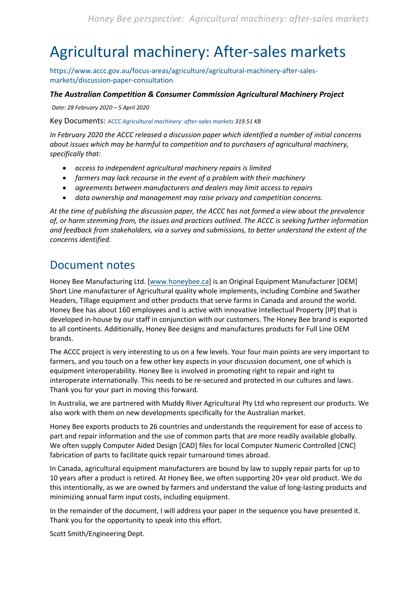# <span id="page-1-0"></span>Agricultural machinery: After-sales markets

[https://www.accc.gov.au/focus-areas/agriculture/agricultural-machinery-after-sales](https://www.accc.gov.au/focus-areas/agriculture/agricultural-machinery-after-sales-markets/discussion-paper-consultation)[markets/discussion-paper-consultation](https://www.accc.gov.au/focus-areas/agriculture/agricultural-machinery-after-sales-markets/discussion-paper-consultation)

### *The Australian Competition & Consumer Commission Agricultural Machinery Project*

*Date: 28 February 2020 – 5 April 2020*

Key Documents: *[ACCC Agricultural machinery: after-sales markets](https://www.accc.gov.au/system/files/Agricultural%20machinery%20-%20After-sales%20markets%20-%20Discussion%20paper%20-%2028%20February%202020.pdf) 319.51 KB*

*In February 2020 the ACCC released a discussion paper which identified a number of initial concerns about issues which may be harmful to competition and to purchasers of agricultural machinery, specifically that:*

- *access to independent agricultural machinery repairs is limited*
- *farmers may lack recourse in the event of a problem with their machinery*
- *agreements between manufacturers and dealers may limit access to repairs*
- *data ownership and management may raise privacy and competition concerns.*

*At the time of publishing the discussion paper, the ACCC has not formed a view about the prevalence of, or harm stemming from, the issues and practices outlined. The ACCC is seeking further information and feedback from stakeholders, via a survey and submissions, to better understand the extent of the concerns identified.*

## <span id="page-1-1"></span>Document notes

Honey Bee Manufacturing Ltd. [\[www.honeybee.ca\]](http://www.honeybee.ca/) is an Original Equipment Manufacturer [OEM] Short Line manufacturer of Agricultural quality whole implements, including Combine and Swather Headers, Tillage equipment and other products that serve farms in Canada and around the world. Honey Bee has about 160 employees and is active with innovative Intellectual Property [IP] that is developed in-house by our staff in conjunction with our customers. The Honey Bee brand is exported to all continents. Additionally, Honey Bee designs and manufactures products for Full Line OEM brands.

The ACCC project is very interesting to us on a few levels. Your four main points are very important to farmers, and you touch on a few other key aspects in your discussion document, one of which is equipment interoperability. Honey Bee is involved in promoting right to repair and right to interoperate internationally. This needs to be re-secured and protected in our cultures and laws. Thank you for your part in moving this forward.

In Australia, we are partnered with Muddy River Agricultural Pty Ltd who represent our products. We also work with them on new developments specifically for the Australian market.

Honey Bee exports products to 26 countries and understands the requirement for ease of access to part and repair information and the use of common parts that are more readily available globally. We often supply Computer Aided Design [CAD] files for local Computer Numeric Controlled [CNC] fabrication of parts to facilitate quick repair turnaround times abroad.

In Canada, agricultural equipment manufacturers are bound by law to supply repair parts for up to 10 years after a product is retired. At Honey Bee, we often supporting 20+ year old product. We do this intentionally, as we are owned by farmers and understand the value of long-lasting products and minimizing annual farm input costs, including equipment.

In the remainder of the document, I will address your paper in the sequence you have presented it. Thank you for the opportunity to speak into this effort.

Scott Smith/Engineering Dept.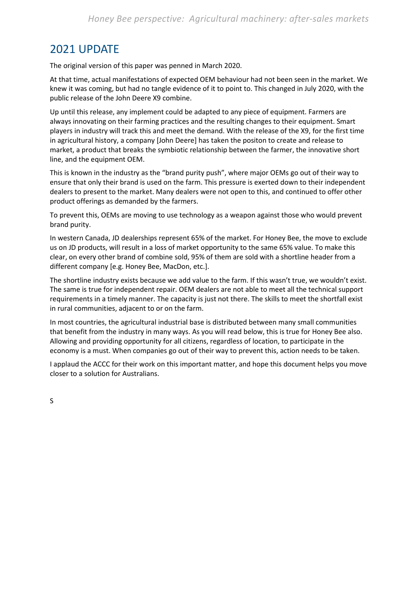## <span id="page-2-0"></span>2021 UPDATE

The original version of this paper was penned in March 2020.

At that time, actual manifestations of expected OEM behaviour had not been seen in the market. We knew it was coming, but had no tangle evidence of it to point to. This changed in July 2020, with the public release of the John Deere X9 combine.

Up until this release, any implement could be adapted to any piece of equipment. Farmers are always innovating on their farming practices and the resulting changes to their equipment. Smart players in industry will track this and meet the demand. With the release of the X9, for the first time in agricultural history, a company [John Deere] has taken the positon to create and release to market, a product that breaks the symbiotic relationship between the farmer, the innovative short line, and the equipment OEM.

This is known in the industry as the "brand purity push", where major OEMs go out of their way to ensure that only their brand is used on the farm. This pressure is exerted down to their independent dealers to present to the market. Many dealers were not open to this, and continued to offer other product offerings as demanded by the farmers.

To prevent this, OEMs are moving to use technology as a weapon against those who would prevent brand purity.

In western Canada, JD dealerships represent 65% of the market. For Honey Bee, the move to exclude us on JD products, will result in a loss of market opportunity to the same 65% value. To make this clear, on every other brand of combine sold, 95% of them are sold with a shortline header from a different company [e.g. Honey Bee, MacDon, etc.].

The shortline industry exists because we add value to the farm. If this wasn't true, we wouldn't exist. The same is true for independent repair. OEM dealers are not able to meet all the technical support requirements in a timely manner. The capacity is just not there. The skills to meet the shortfall exist in rural communities, adjacent to or on the farm.

In most countries, the agricultural industrial base is distributed between many small communities that benefit from the industry in many ways. As you will read below, this is true for Honey Bee also. Allowing and providing opportunity for all citizens, regardless of location, to participate in the economy is a must. When companies go out of their way to prevent this, action needs to be taken.

I applaud the ACCC for their work on this important matter, and hope this document helps you move closer to a solution for Australians.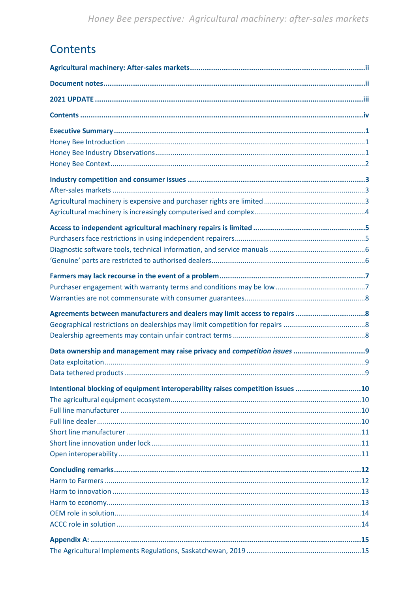## <span id="page-3-0"></span>Contents

| Intentional blocking of equipment interoperability raises competition issues 10 |
|---------------------------------------------------------------------------------|
|                                                                                 |
|                                                                                 |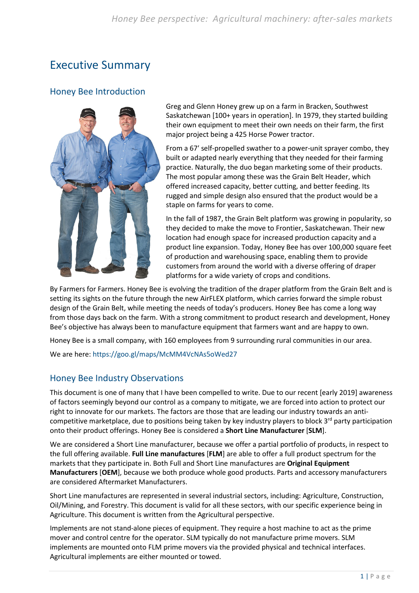## <span id="page-4-0"></span>Executive Summary

### <span id="page-4-1"></span>Honey Bee Introduction



Greg and Glenn Honey grew up on a farm in Bracken, Southwest Saskatchewan [100+ years in operation]. In 1979, they started building their own equipment to meet their own needs on their farm, the first major project being a 425 Horse Power tractor.

From a 67′ self-propelled swather to a power-unit sprayer combo, they built or adapted nearly everything that they needed for their farming practice. Naturally, the duo began marketing some of their products. The most popular among these was the Grain Belt Header, which offered increased capacity, better cutting, and better feeding. Its rugged and simple design also ensured that the product would be a staple on farms for years to come.

In the fall of 1987, the Grain Belt platform was growing in popularity, so they decided to make the move to Frontier, Saskatchewan. Their new location had enough space for increased production capacity and a product line expansion. Today, Honey Bee has over 100,000 square feet of production and warehousing space, enabling them to provide customers from around the world with a diverse offering of draper platforms for a wide variety of crops and conditions.

By Farmers for Farmers. Honey Bee is evolving the tradition of the draper platform from the Grain Belt and is setting its sights on the future through the new AirFLEX platform, which carries forward the simple robust design of the Grain Belt, while meeting the needs of today's producers. Honey Bee has come a long way from those days back on the farm. With a strong commitment to product research and development, Honey Bee's objective has always been to manufacture equipment that farmers want and are happy to own.

Honey Bee is a small company, with 160 employees from 9 surrounding rural communities in our area.

We are here[: https://goo.gl/maps/McMM4VcNAs5oWed27](https://goo.gl/maps/McMM4VcNAs5oWed27)

### <span id="page-4-2"></span>Honey Bee Industry Observations

This document is one of many that I have been compelled to write. Due to our recent [early 2019] awareness of factors seemingly beyond our control as a company to mitigate, we are forced into action to protect our right to innovate for our markets. The factors are those that are leading our industry towards an anticompetitive marketplace, due to positions being taken by key industry players to block 3<sup>rd</sup> party participation onto their product offerings. Honey Bee is considered a **Short Line Manufacturer** [**SLM**].

We are considered a Short Line manufacturer, because we offer a partial portfolio of products, in respect to the full offering available. **Full Line manufactures** [**FLM**] are able to offer a full product spectrum for the markets that they participate in. Both Full and Short Line manufactures are **Original Equipment Manufacturers** [**OEM**], because we both produce whole good products. Parts and accessory manufacturers are considered Aftermarket Manufacturers.

Short Line manufactures are represented in several industrial sectors, including: Agriculture, Construction, Oil/Mining, and Forestry. This document is valid for all these sectors, with our specific experience being in Agriculture. This document is written from the Agricultural perspective.

Implements are not stand-alone pieces of equipment. They require a host machine to act as the prime mover and control centre for the operator. SLM typically do not manufacture prime movers. SLM implements are mounted onto FLM prime movers via the provided physical and technical interfaces. Agricultural implements are either mounted or towed.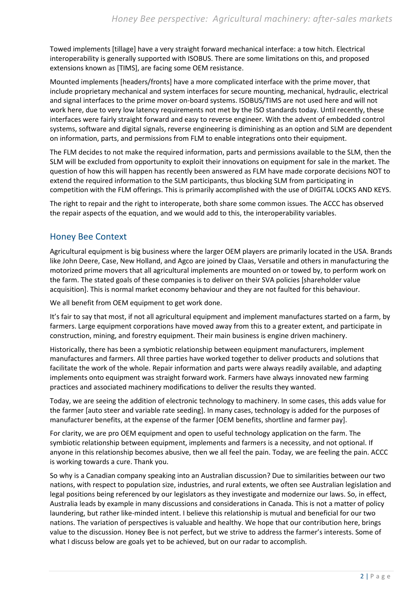Towed implements [tillage] have a very straight forward mechanical interface: a tow hitch. Electrical interoperability is generally supported with ISOBUS. There are some limitations on this, and proposed extensions known as [TIMS], are facing some OEM resistance.

Mounted implements [headers/fronts] have a more complicated interface with the prime mover, that include proprietary mechanical and system interfaces for secure mounting, mechanical, hydraulic, electrical and signal interfaces to the prime mover on-board systems. ISOBUS/TIMS are not used here and will not work here, due to very low latency requirements not met by the ISO standards today. Until recently, these interfaces were fairly straight forward and easy to reverse engineer. With the advent of embedded control systems, software and digital signals, reverse engineering is diminishing as an option and SLM are dependent on information, parts, and permissions from FLM to enable integrations onto their equipment.

The FLM decides to not make the required information, parts and permissions available to the SLM, then the SLM will be excluded from opportunity to exploit their innovations on equipment for sale in the market. The question of how this will happen has recently been answered as FLM have made corporate decisions NOT to extend the required information to the SLM participants, thus blocking SLM from participating in competition with the FLM offerings. This is primarily accomplished with the use of DIGITAL LOCKS AND KEYS.

The right to repair and the right to interoperate, both share some common issues. The ACCC has observed the repair aspects of the equation, and we would add to this, the interoperability variables.

### <span id="page-5-0"></span>Honey Bee Context

Agricultural equipment is big business where the larger OEM players are primarily located in the USA. Brands like John Deere, Case, New Holland, and Agco are joined by Claas, Versatile and others in manufacturing the motorized prime movers that all agricultural implements are mounted on or towed by, to perform work on the farm. The stated goals of these companies is to deliver on their SVA policies [shareholder value acquisition]. This is normal market economy behaviour and they are not faulted for this behaviour.

We all benefit from OEM equipment to get work done.

It's fair to say that most, if not all agricultural equipment and implement manufactures started on a farm, by farmers. Large equipment corporations have moved away from this to a greater extent, and participate in construction, mining, and forestry equipment. Their main business is engine driven machinery.

Historically, there has been a symbiotic relationship between equipment manufacturers, implement manufactures and farmers. All three parties have worked together to deliver products and solutions that facilitate the work of the whole. Repair information and parts were always readily available, and adapting implements onto equipment was straight forward work. Farmers have always innovated new farming practices and associated machinery modifications to deliver the results they wanted.

Today, we are seeing the addition of electronic technology to machinery. In some cases, this adds value for the farmer [auto steer and variable rate seeding]. In many cases, technology is added for the purposes of manufacturer benefits, at the expense of the farmer [OEM benefits, shortline and farmer pay].

For clarity, we are pro OEM equipment and open to useful technology application on the farm. The symbiotic relationship between equipment, implements and farmers is a necessity, and not optional. If anyone in this relationship becomes abusive, then we all feel the pain. Today, we are feeling the pain. ACCC is working towards a cure. Thank you.

So why is a Canadian company speaking into an Australian discussion? Due to similarities between our two nations, with respect to population size, industries, and rural extents, we often see Australian legislation and legal positions being referenced by our legislators as they investigate and modernize our laws. So, in effect, Australia leads by example in many discussions and considerations in Canada. This is not a matter of policy laundering, but rather like-minded intent. I believe this relationship is mutual and beneficial for our two nations. The variation of perspectives is valuable and healthy. We hope that our contribution here, brings value to the discussion. Honey Bee is not perfect, but we strive to address the farmer's interests. Some of what I discuss below are goals yet to be achieved, but on our radar to accomplish.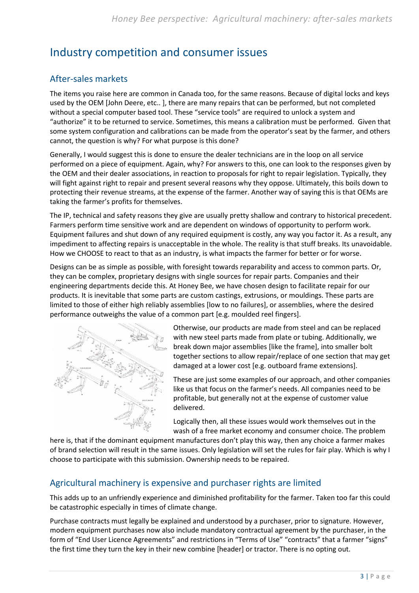## <span id="page-6-0"></span>Industry competition and consumer issues

## <span id="page-6-1"></span>After-sales markets

The items you raise here are common in Canada too, for the same reasons. Because of digital locks and keys used by the OEM [John Deere, etc.. ], there are many repairs that can be performed, but not completed without a special computer based tool. These "service tools" are required to unlock a system and "authorize" it to be returned to service. Sometimes, this means a calibration must be performed. Given that some system configuration and calibrations can be made from the operator's seat by the farmer, and others cannot, the question is why? For what purpose is this done?

Generally, I would suggest this is done to ensure the dealer technicians are in the loop on all service performed on a piece of equipment. Again, why? For answers to this, one can look to the responses given by the OEM and their dealer associations, in reaction to proposals for right to repair legislation. Typically, they will fight against right to repair and present several reasons why they oppose. Ultimately, this boils down to protecting their revenue streams, at the expense of the farmer. Another way of saying this is that OEMs are taking the farmer's profits for themselves.

The IP, technical and safety reasons they give are usually pretty shallow and contrary to historical precedent. Farmers perform time sensitive work and are dependent on windows of opportunity to perform work. Equipment failures and shut down of any required equipment is costly, any way you factor it. As a result, any impediment to affecting repairs is unacceptable in the whole. The reality is that stuff breaks. Its unavoidable. How we CHOOSE to react to that as an industry, is what impacts the farmer for better or for worse.

Designs can be as simple as possible, with foresight towards reparability and access to common parts. Or, they can be complex, proprietary designs with single sources for repair parts. Companies and their engineering departments decide this. At Honey Bee, we have chosen design to facilitate repair for our products. It is inevitable that some parts are custom castings, extrusions, or mouldings. These parts are limited to those of either high reliably assemblies [low to no failures], or assemblies, where the desired performance outweighs the value of a common part [e.g. moulded reel fingers].



Otherwise, our products are made from steel and can be replaced with new steel parts made from plate or tubing. Additionally, we break down major assemblies [like the frame], into smaller bolt together sections to allow repair/replace of one section that may get damaged at a lower cost [e.g. outboard frame extensions].

These are just some examples of our approach, and other companies like us that focus on the farmer's needs. All companies need to be profitable, but generally not at the expense of customer value delivered.

Logically then, all these issues would work themselves out in the wash of a free market economy and consumer choice. The problem

here is, that if the dominant equipment manufactures don't play this way, then any choice a farmer makes of brand selection will result in the same issues. Only legislation will set the rules for fair play. Which is why I choose to participate with this submission. Ownership needs to be repaired.

### <span id="page-6-2"></span>Agricultural machinery is expensive and purchaser rights are limited

This adds up to an unfriendly experience and diminished profitability for the farmer. Taken too far this could be catastrophic especially in times of climate change.

Purchase contracts must legally be explained and understood by a purchaser, prior to signature. However, modern equipment purchases now also include mandatory contractual agreement by the purchaser, in the form of "End User Licence Agreements" and restrictions in "Terms of Use" "contracts" that a farmer "signs" the first time they turn the key in their new combine [header] or tractor. There is no opting out.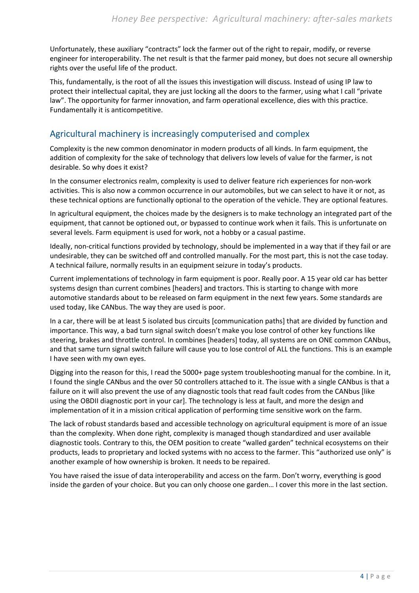Unfortunately, these auxiliary "contracts" lock the farmer out of the right to repair, modify, or reverse engineer for interoperability. The net result is that the farmer paid money, but does not secure all ownership rights over the useful life of the product.

This, fundamentally, is the root of all the issues this investigation will discuss. Instead of using IP law to protect their intellectual capital, they are just locking all the doors to the farmer, using what I call "private law". The opportunity for farmer innovation, and farm operational excellence, dies with this practice. Fundamentally it is anticompetitive.

### <span id="page-7-0"></span>Agricultural machinery is increasingly computerised and complex

Complexity is the new common denominator in modern products of all kinds. In farm equipment, the addition of complexity for the sake of technology that delivers low levels of value for the farmer, is not desirable. So why does it exist?

In the consumer electronics realm, complexity is used to deliver feature rich experiences for non-work activities. This is also now a common occurrence in our automobiles, but we can select to have it or not, as these technical options are functionally optional to the operation of the vehicle. They are optional features.

In agricultural equipment, the choices made by the designers is to make technology an integrated part of the equipment, that cannot be optioned out, or bypassed to continue work when it fails. This is unfortunate on several levels. Farm equipment is used for work, not a hobby or a casual pastime.

Ideally, non-critical functions provided by technology, should be implemented in a way that if they fail or are undesirable, they can be switched off and controlled manually. For the most part, this is not the case today. A technical failure, normally results in an equipment seizure in today's products.

Current implementations of technology in farm equipment is poor. Really poor. A 15 year old car has better systems design than current combines [headers] and tractors. This is starting to change with more automotive standards about to be released on farm equipment in the next few years. Some standards are used today, like CANbus. The way they are used is poor.

In a car, there will be at least 5 isolated bus circuits [communication paths] that are divided by function and importance. This way, a bad turn signal switch doesn't make you lose control of other key functions like steering, brakes and throttle control. In combines [headers] today, all systems are on ONE common CANbus, and that same turn signal switch failure will cause you to lose control of ALL the functions. This is an example I have seen with my own eyes.

Digging into the reason for this, I read the 5000+ page system troubleshooting manual for the combine. In it, I found the single CANbus and the over 50 controllers attached to it. The issue with a single CANbus is that a failure on it will also prevent the use of any diagnostic tools that read fault codes from the CANbus [like using the OBDII diagnostic port in your car]. The technology is less at fault, and more the design and implementation of it in a mission critical application of performing time sensitive work on the farm.

The lack of robust standards based and accessible technology on agricultural equipment is more of an issue than the complexity. When done right, complexity is managed though standardized and user available diagnostic tools. Contrary to this, the OEM position to create "walled garden" technical ecosystems on their products, leads to proprietary and locked systems with no access to the farmer. This "authorized use only" is another example of how ownership is broken. It needs to be repaired.

You have raised the issue of data interoperability and access on the farm. Don't worry, everything is good inside the garden of your choice. But you can only choose one garden… I cover this more in the last section.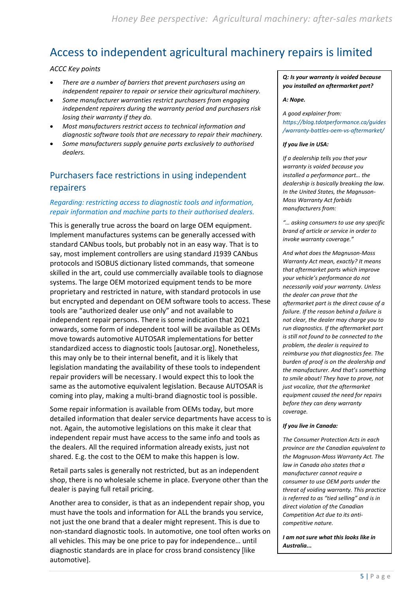## <span id="page-8-0"></span>Access to independent agricultural machinery repairs is limited

#### *ACCC Key points*

- *There are a number of barriers that prevent purchasers using an independent repairer to repair or service their agricultural machinery.*
- *Some manufacturer warranties restrict purchasers from engaging independent repairers during the warranty period and purchasers risk losing their warranty if they do.*
- *Most manufacturers restrict access to technical information and diagnostic software tools that are necessary to repair their machinery.*
- *Some manufacturers supply genuine parts exclusively to authorised dealers.*

## <span id="page-8-1"></span>Purchasers face restrictions in using independent repairers

### *Regarding: restricting access to diagnostic tools and information, repair information and machine parts to their authorised dealers.*

This is generally true across the board on large OEM equipment. Implement manufactures systems can be generally accessed with standard CANbus tools, but probably not in an easy way. That is to say, most implement controllers are using standard J1939 CANbus protocols and ISOBUS dictionary listed commands, that someone skilled in the art, could use commercially available tools to diagnose systems. The large OEM motorized equipment tends to be more proprietary and restricted in nature, with standard protocols in use but encrypted and dependant on OEM software tools to access. These tools are "authorized dealer use only" and not available to independent repair persons. There is some indication that 2021 onwards, some form of independent tool will be available as OEMs move towards automotive AUTOSAR implementations for better standardized access to diagnostic tools [autosar.org]. Nonetheless, this may only be to their internal benefit, and it is likely that legislation mandating the availability of these tools to independent repair providers will be necessary. I would expect this to look the same as the automotive equivalent legislation. Because AUTOSAR is coming into play, making a multi-brand diagnostic tool is possible.

Some repair information is available from OEMs today, but more detailed information that dealer service departments have access to is not. Again, the automotive legislations on this make it clear that independent repair must have access to the same info and tools as the dealers. All the required information already exists, just not shared. E.g. the cost to the OEM to make this happen is low.

Retail parts sales is generally not restricted, but as an independent shop, there is no wholesale scheme in place. Everyone other than the dealer is paying full retail pricing.

Another area to consider, is that as an independent repair shop, you must have the tools and information for ALL the brands you service, not just the one brand that a dealer might represent. This is due to non-standard diagnostic tools. In automotive, one tool often works on all vehicles. This may be one price to pay for independence… until diagnostic standards are in place for cross brand consistency [like automotive].

*Q: Is your warranty is voided because you installed an aftermarket part?* 

#### *A: Nope.*

*A good explainer from: [https://blog.tdotperformance.ca/guides](https://blog.tdotperformance.ca/guides/warranty-battles-oem-vs-aftermarket/) [/warranty-battles-oem-vs-aftermarket/](https://blog.tdotperformance.ca/guides/warranty-battles-oem-vs-aftermarket/)*

#### *If you live in USA:*

*If a dealership tells you that your warranty is voided because you installed a performance part… the dealership is basically breaking the law. In the United States, the Magnuson-Moss Warranty Act forbids manufacturers from:*

*"… asking consumers to use any specific brand of article or service in order to invoke warranty coverage."*

*And what does the Magnuson-Moss Warranty Act mean, exactly? It means that aftermarket parts which improve your vehicle's performance do not necessarily void your warranty. Unless the dealer can prove that the aftermarket part is the direct cause of a failure. If the reason behind a failure is not clear, the dealer may charge you to run diagnostics. If the aftermarket part is still not found to be connected to the problem, the dealer is required to reimburse you that diagnostics fee. The burden of proof is on the dealership and the manufacturer. And that's something to smile about! They have to prove, not just vocalize, that the aftermarket equipment caused the need for repairs before they can deny warranty coverage.*

#### *If you live in Canada:*

*The Consumer Protection Acts in each province are the Canadian equivalent to the Magnuson-Moss Warranty Act. The law in Canada also states that a manufacturer cannot require a consumer to use OEM parts under the threat of voiding warranty. This practice is referred to as "tied selling" and is in direct violation of the Canadian Competition Act due to its anticompetitive nature.*

*I am not sure what this looks like in Australia...*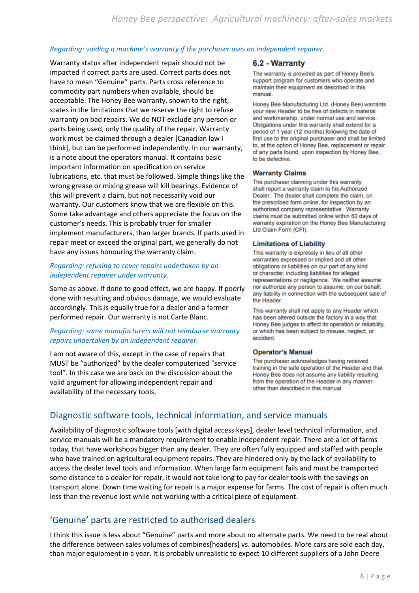#### *Regarding: voiding a machine's warranty if the purchaser uses an independent repairer.*

Warranty status after independent repair should not be impacted if correct parts are used. Correct parts does not have to mean "Genuine" parts. Parts cross reference to commodity part numbers when available, should be acceptable. The Honey Bee warranty, shown to the right, states in the limitations that we reserve the right to refuse warranty on bad repairs. We do NOT exclude any person or parts being used, only the quality of the repair. Warranty work must be claimed through a dealer [Canadian law I think], but can be performed independently. In our warranty, is a note about the operators manual. It contains basic important information on specification on service lubrications, etc. that must be followed. Simple things like the wrong grease or mixing grease will kill bearings. Evidence of this will prevent a claim, but not necessarily void our warranty. Our customers know that we are flexible on this. Some take advantage and others appreciate the focus on the customer's needs. This is probably truer for smaller implement manufacturers, than larger brands. If parts used in repair meet or exceed the original part, we generally do not have any issues honouring the warranty claim.

#### *Regarding: refusing to cover repairs undertaken by an independent repairer under warranty.*

Same as above. If done to good effect, we are happy. If poorly done with resulting and obvious damage, we would evaluate accordingly. This is equally true for a dealer and a farmer performed repair. Our warranty is not Carte Blanc.

### *Regarding: some manufacturers will not reimburse warranty repairs undertaken by an independent repairer.*

I am not aware of this, except in the case of repairs that MUST be "authorized" by the dealer computerized "service tool". In this case we are back on the discussion about the valid argument for allowing independent repair and availability of the necessary tools.

#### 6.2 - Warranty

The warranty is provided as part of Honey Bee's support program for customers who operate and maintain their equipment as described in this manual

Honey Bee Manufacturing Ltd. (Honey Bee) warrants your new Header to be free of defects in material and workmanship, under normal use and service. Obligations under this warranty shall extend for a period of 1 year (12 months) following the date of first use to the original purchaser and shall be limited to, at the option of Honey Bee, replacement or repair of any parts found, upon inspection by Honey Bee, to be defective.

#### **Warranty Claims**

The purchaser claiming under this warranty shall report a warranty claim to his Authorized Dealer. The dealer shall complete the claim, on the prescribed form online, for inspection by an authorized company representative. Warranty claims must be submitted online within 60 days of warranty expiration on the Honey Bee Manufacturing Ltd Claim Form (CFI).

#### **Limitations of Liability**

This warranty is expressly in lieu of all other warranties expressed or implied and all other obligations or liabilities on our part of any kind or character, including liabilities for alleged representations or negligence. We neither assume nor authorize any person to assume, on our behalf, any liability in connection with the subsequent sale of the Header.

This warranty shall not apply to any Header which has been altered outside the factory in a way that Honey Bee judges to affect its operation or reliability, or which has been subject to misuse, neglect, or accident.

#### **Operator's Manual**

The purchaser acknowledges having received training in the safe operation of the Header and that Honey Bee does not assume any liability resulting from the operation of the Header in any manner other than described in this manual.

### <span id="page-9-0"></span>Diagnostic software tools, technical information, and service manuals

Availability of diagnostic software tools [with digital access keys], dealer level technical information, and service manuals will be a mandatory requirement to enable independent repair. There are a lot of farms today, that have workshops bigger than any dealer. They are often fully equipped and staffed with people who have trained on agricultural equipment repairs. They are hindered only by the lack of availability to access the dealer level tools and information. When large farm equipment fails and must be transported some distance to a dealer for repair, it would not take long to pay for dealer tools with the savings on transport alone. Down time waiting for repair is a major expense for farms. The cost of repair is often much less than the revenue lost while not working with a critical piece of equipment.

### <span id="page-9-1"></span>'Genuine' parts are restricted to authorised dealers

I think this issue is less about "Genuine" parts and more about no alternate parts. We need to be real about the difference between sales volumes of combines[headers] vs. automobiles. More cars are sold each day, than major equipment in a year. It is probably unrealistic to expect 10 different suppliers of a John Deere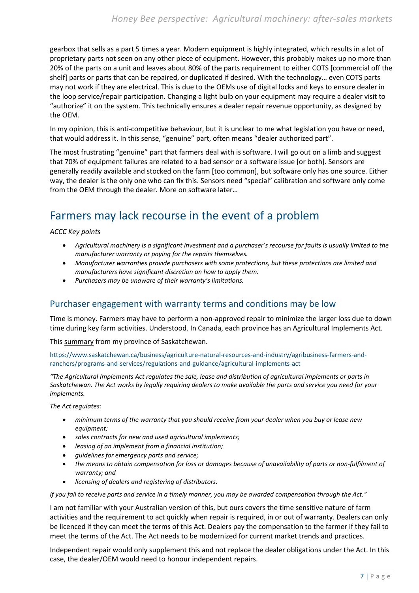gearbox that sells as a part 5 times a year. Modern equipment is highly integrated, which results in a lot of proprietary parts not seen on any other piece of equipment. However, this probably makes up no more than 20% of the parts on a unit and leaves about 80% of the parts requirement to either COTS [commercial off the shelf] parts or parts that can be repaired, or duplicated if desired. With the technology… even COTS parts may not work if they are electrical. This is due to the OEMs use of digital locks and keys to ensure dealer in the loop service/repair participation. Changing a light bulb on your equipment may require a dealer visit to "authorize" it on the system. This technically ensures a dealer repair revenue opportunity, as designed by the OEM.

In my opinion, this is anti-competitive behaviour, but it is unclear to me what legislation you have or need, that would address it. In this sense, "genuine" part, often means "dealer authorized part".

The most frustrating "genuine" part that farmers deal with is software. I will go out on a limb and suggest that 70% of equipment failures are related to a bad sensor or a software issue [or both]. Sensors are generally readily available and stocked on the farm [too common], but software only has one source. Either way, the dealer is the only one who can fix this. Sensors need "special" calibration and software only come from the OEM through the dealer. More on software later…

## <span id="page-10-0"></span>Farmers may lack recourse in the event of a problem

*ACCC Key points*

- *Agricultural machinery is a significant investment and a purchaser's recourse for faults is usually limited to the manufacturer warranty or paying for the repairs themselves.*
- *Manufacturer warranties provide purchasers with some protections, but these protections are limited and manufacturers have significant discretion on how to apply them.*
- *Purchasers may be unaware of their warranty's limitations.*

### <span id="page-10-1"></span>Purchaser engagement with warranty terms and conditions may be low

Time is money. Farmers may have to perform a non-approved repair to minimize the larger loss due to down time during key farm activities. Understood. In Canada, each province has an Agricultural Implements Act.

This summary from my province of Saskatchewan.

[https://www.saskatchewan.ca/business/agriculture-natural-resources-and-industry/agribusiness-farmers-and](https://www.saskatchewan.ca/business/agriculture-natural-resources-and-industry/agribusiness-farmers-and-ranchers/programs-and-services/regulations-and-guidance/agricultural-implements-act)[ranchers/programs-and-services/regulations-and-guidance/agricultural-implements-act](https://www.saskatchewan.ca/business/agriculture-natural-resources-and-industry/agribusiness-farmers-and-ranchers/programs-and-services/regulations-and-guidance/agricultural-implements-act)

*"The Agricultural Implements Act regulates the sale, lease and distribution of agricultural implements or parts in Saskatchewan. The Act works by legally requiring dealers to make available the parts and service you need for your implements.*

*The Act regulates:*

- *minimum terms of the warranty that you should receive from your dealer when you buy or lease new equipment;*
- *sales contracts for new and used agricultural implements;*
- *leasing of an implement from a financial institution;*
- *guidelines for emergency parts and service;*
- *the means to obtain compensation for loss or damages because of unavailability of parts or non-fulfilment of warranty; and*
- *licensing of dealers and registering of distributors.*

#### *If you fail to receive parts and service in a timely manner, you may be awarded compensation through the Act."*

I am not familiar with your Australian version of this, but ours covers the time sensitive nature of farm activities and the requirement to act quickly when repair is required, in or out of warranty. Dealers can only be licenced if they can meet the terms of this Act. Dealers pay the compensation to the farmer if they fail to meet the terms of the Act. The Act needs to be modernized for current market trends and practices.

Independent repair would only supplement this and not replace the dealer obligations under the Act. In this case, the dealer/OEM would need to honour independent repairs.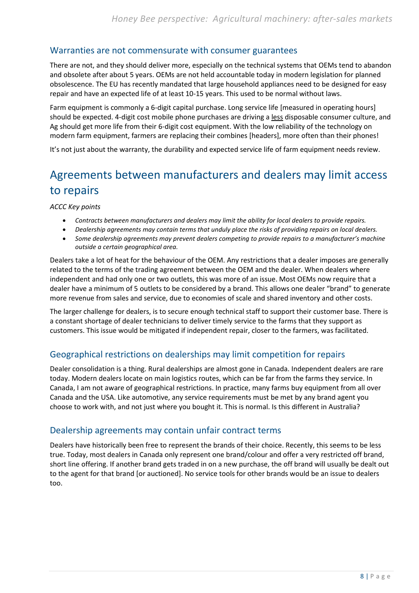### <span id="page-11-0"></span>Warranties are not commensurate with consumer guarantees

There are not, and they should deliver more, especially on the technical systems that OEMs tend to abandon and obsolete after about 5 years. OEMs are not held accountable today in modern legislation for planned obsolescence. The EU has recently mandated that large household appliances need to be designed for easy repair and have an expected life of at least 10-15 years. This used to be normal without laws.

Farm equipment is commonly a 6-digit capital purchase. Long service life [measured in operating hours] should be expected. 4-digit cost mobile phone purchases are driving a less disposable consumer culture, and Ag should get more life from their 6-digit cost equipment. With the low reliability of the technology on modern farm equipment, farmers are replacing their combines [headers], more often than their phones!

It's not just about the warranty, the durability and expected service life of farm equipment needs review.

## <span id="page-11-1"></span>Agreements between manufacturers and dealers may limit access to repairs

*ACCC Key points*

- *Contracts between manufacturers and dealers may limit the ability for local dealers to provide repairs.*
- *Dealership agreements may contain terms that unduly place the risks of providing repairs on local dealers.*
- *Some dealership agreements may prevent dealers competing to provide repairs to a manufacturer's machine outside a certain geographical area.*

Dealers take a lot of heat for the behaviour of the OEM. Any restrictions that a dealer imposes are generally related to the terms of the trading agreement between the OEM and the dealer. When dealers where independent and had only one or two outlets, this was more of an issue. Most OEMs now require that a dealer have a minimum of 5 outlets to be considered by a brand. This allows one dealer "brand" to generate more revenue from sales and service, due to economies of scale and shared inventory and other costs.

The larger challenge for dealers, is to secure enough technical staff to support their customer base. There is a constant shortage of dealer technicians to deliver timely service to the farms that they support as customers. This issue would be mitigated if independent repair, closer to the farmers, was facilitated.

### <span id="page-11-2"></span>Geographical restrictions on dealerships may limit competition for repairs

Dealer consolidation is a thing. Rural dealerships are almost gone in Canada. Independent dealers are rare today. Modern dealers locate on main logistics routes, which can be far from the farms they service. In Canada, I am not aware of geographical restrictions. In practice, many farms buy equipment from all over Canada and the USA. Like automotive, any service requirements must be met by any brand agent you choose to work with, and not just where you bought it. This is normal. Is this different in Australia?

### <span id="page-11-3"></span>Dealership agreements may contain unfair contract terms

Dealers have historically been free to represent the brands of their choice. Recently, this seems to be less true. Today, most dealers in Canada only represent one brand/colour and offer a very restricted off brand, short line offering. If another brand gets traded in on a new purchase, the off brand will usually be dealt out to the agent for that brand [or auctioned]. No service tools for other brands would be an issue to dealers too.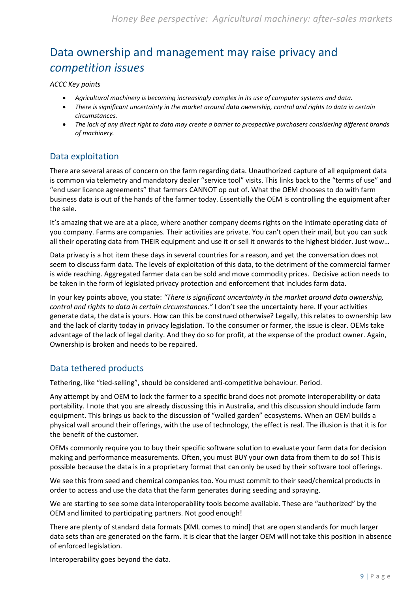## <span id="page-12-0"></span>Data ownership and management may raise privacy and *competition issues*

*ACCC Key points*

- *Agricultural machinery is becoming increasingly complex in its use of computer systems and data.*
- *There is significant uncertainty in the market around data ownership, control and rights to data in certain circumstances.*
- *The lack of any direct right to data may create a barrier to prospective purchasers considering different brands of machinery.*

### <span id="page-12-1"></span>Data exploitation

There are several areas of concern on the farm regarding data. Unauthorized capture of all equipment data is common via telemetry and mandatory dealer "service tool" visits. This links back to the "terms of use" and "end user licence agreements" that farmers CANNOT op out of. What the OEM chooses to do with farm business data is out of the hands of the farmer today. Essentially the OEM is controlling the equipment after the sale.

It's amazing that we are at a place, where another company deems rights on the intimate operating data of you company. Farms are companies. Their activities are private. You can't open their mail, but you can suck all their operating data from THEIR equipment and use it or sell it onwards to the highest bidder. Just wow…

Data privacy is a hot item these days in several countries for a reason, and yet the conversation does not seem to discuss farm data. The levels of exploitation of this data, to the detriment of the commercial farmer is wide reaching. Aggregated farmer data can be sold and move commodity prices. Decisive action needs to be taken in the form of legislated privacy protection and enforcement that includes farm data.

In your key points above, you state: *"There is significant uncertainty in the market around data ownership, control and rights to data in certain circumstances."* I don't see the uncertainty here. If your activities generate data, the data is yours. How can this be construed otherwise? Legally, this relates to ownership law and the lack of clarity today in privacy legislation. To the consumer or farmer, the issue is clear. OEMs take advantage of the lack of legal clarity. And they do so for profit, at the expense of the product owner. Again, Ownership is broken and needs to be repaired.

### <span id="page-12-2"></span>Data tethered products

Tethering, like "tied-selling", should be considered anti-competitive behaviour. Period.

Any attempt by and OEM to lock the farmer to a specific brand does not promote interoperability or data portability. I note that you are already discussing this in Australia, and this discussion should include farm equipment. This brings us back to the discussion of "walled garden" ecosystems. When an OEM builds a physical wall around their offerings, with the use of technology, the effect is real. The illusion is that it is for the benefit of the customer.

OEMs commonly require you to buy their specific software solution to evaluate your farm data for decision making and performance measurements. Often, you must BUY your own data from them to do so! This is possible because the data is in a proprietary format that can only be used by their software tool offerings.

We see this from seed and chemical companies too. You must commit to their seed/chemical products in order to access and use the data that the farm generates during seeding and spraying.

We are starting to see some data interoperability tools become available. These are "authorized" by the OEM and limited to participating partners. Not good enough!

There are plenty of standard data formats [XML comes to mind] that are open standards for much larger data sets than are generated on the farm. It is clear that the larger OEM will not take this position in absence of enforced legislation.

Interoperability goes beyond the data.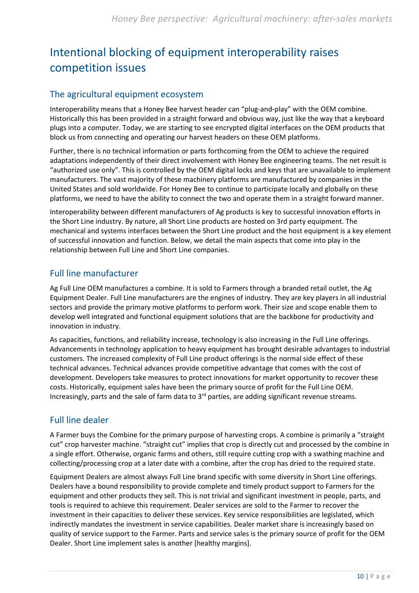## <span id="page-13-0"></span>Intentional blocking of equipment interoperability raises competition issues

### <span id="page-13-1"></span>The agricultural equipment ecosystem

Interoperability means that a Honey Bee harvest header can "plug-and-play" with the OEM combine. Historically this has been provided in a straight forward and obvious way, just like the way that a keyboard plugs into a computer. Today, we are starting to see encrypted digital interfaces on the OEM products that block us from connecting and operating our harvest headers on these OEM platforms.

Further, there is no technical information or parts forthcoming from the OEM to achieve the required adaptations independently of their direct involvement with Honey Bee engineering teams. The net result is "authorized use only". This is controlled by the OEM digital locks and keys that are unavailable to implement manufacturers. The vast majority of these machinery platforms are manufactured by companies in the United States and sold worldwide. For Honey Bee to continue to participate locally and globally on these platforms, we need to have the ability to connect the two and operate them in a straight forward manner.

Interoperability between different manufacturers of Ag products is key to successful innovation efforts in the Short Line industry. By nature, all Short Line products are hosted on 3rd party equipment. The mechanical and systems interfaces between the Short Line product and the host equipment is a key element of successful innovation and function. Below, we detail the main aspects that come into play in the relationship between Full Line and Short Line companies.

### <span id="page-13-2"></span>Full line manufacturer

Ag Full Line OEM manufactures a combine. It is sold to Farmers through a branded retail outlet, the Ag Equipment Dealer. Full Line manufacturers are the engines of industry. They are key players in all industrial sectors and provide the primary motive platforms to perform work. Their size and scope enable them to develop well integrated and functional equipment solutions that are the backbone for productivity and innovation in industry.

As capacities, functions, and reliability increase, technology is also increasing in the Full Line offerings. Advancements in technology application to heavy equipment has brought desirable advantages to industrial customers. The increased complexity of Full Line product offerings is the normal side effect of these technical advances. Technical advances provide competitive advantage that comes with the cost of development. Developers take measures to protect innovations for market opportunity to recover these costs. Historically, equipment sales have been the primary source of profit for the Full Line OEM. Increasingly, parts and the sale of farm data to 3<sup>rd</sup> parties, are adding significant revenue streams.

### <span id="page-13-3"></span>Full line dealer

A Farmer buys the Combine for the primary purpose of harvesting crops. A combine is primarily a "straight cut" crop harvester machine. "straight cut" implies that crop is directly cut and processed by the combine in a single effort. Otherwise, organic farms and others, still require cutting crop with a swathing machine and collecting/processing crop at a later date with a combine, after the crop has dried to the required state.

Equipment Dealers are almost always Full Line brand specific with some diversity in Short Line offerings. Dealers have a bound responsibility to provide complete and timely product support to Farmers for the equipment and other products they sell. This is not trivial and significant investment in people, parts, and tools is required to achieve this requirement. Dealer services are sold to the Farmer to recover the investment in their capacities to deliver these services. Key service responsibilities are legislated, which indirectly mandates the investment in service capabilities. Dealer market share is increasingly based on quality of service support to the Farmer. Parts and service sales is the primary source of profit for the OEM Dealer. Short Line implement sales is another [healthy margins].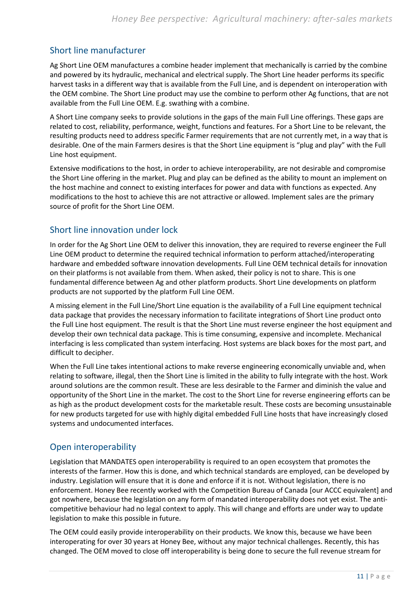## <span id="page-14-0"></span>Short line manufacturer

Ag Short Line OEM manufactures a combine header implement that mechanically is carried by the combine and powered by its hydraulic, mechanical and electrical supply. The Short Line header performs its specific harvest tasks in a different way that is available from the Full Line, and is dependent on interoperation with the OEM combine. The Short Line product may use the combine to perform other Ag functions, that are not available from the Full Line OEM. E.g. swathing with a combine.

A Short Line company seeks to provide solutions in the gaps of the main Full Line offerings. These gaps are related to cost, reliability, performance, weight, functions and features. For a Short Line to be relevant, the resulting products need to address specific Farmer requirements that are not currently met, in a way that is desirable. One of the main Farmers desires is that the Short Line equipment is "plug and play" with the Full Line host equipment.

Extensive modifications to the host, in order to achieve interoperability, are not desirable and compromise the Short Line offering in the market. Plug and play can be defined as the ability to mount an implement on the host machine and connect to existing interfaces for power and data with functions as expected. Any modifications to the host to achieve this are not attractive or allowed. Implement sales are the primary source of profit for the Short Line OEM.

### <span id="page-14-1"></span>Short line innovation under lock

In order for the Ag Short Line OEM to deliver this innovation, they are required to reverse engineer the Full Line OEM product to determine the required technical information to perform attached/interoperating hardware and embedded software innovation developments. Full Line OEM technical details for innovation on their platforms is not available from them. When asked, their policy is not to share. This is one fundamental difference between Ag and other platform products. Short Line developments on platform products are not supported by the platform Full Line OEM.

A missing element in the Full Line/Short Line equation is the availability of a Full Line equipment technical data package that provides the necessary information to facilitate integrations of Short Line product onto the Full Line host equipment. The result is that the Short Line must reverse engineer the host equipment and develop their own technical data package. This is time consuming, expensive and incomplete. Mechanical interfacing is less complicated than system interfacing. Host systems are black boxes for the most part, and difficult to decipher.

When the Full Line takes intentional actions to make reverse engineering economically unviable and, when relating to software, illegal, then the Short Line is limited in the ability to fully integrate with the host. Work around solutions are the common result. These are less desirable to the Farmer and diminish the value and opportunity of the Short Line in the market. The cost to the Short Line for reverse engineering efforts can be as high as the product development costs for the marketable result. These costs are becoming unsustainable for new products targeted for use with highly digital embedded Full Line hosts that have increasingly closed systems and undocumented interfaces.

### <span id="page-14-2"></span>Open interoperability

Legislation that MANDATES open interoperability is required to an open ecosystem that promotes the interests of the farmer. How this is done, and which technical standards are employed, can be developed by industry. Legislation will ensure that it is done and enforce if it is not. Without legislation, there is no enforcement. Honey Bee recently worked with the Competition Bureau of Canada [our ACCC equivalent] and got nowhere, because the legislation on any form of mandated interoperability does not yet exist. The anticompetitive behaviour had no legal context to apply. This will change and efforts are under way to update legislation to make this possible in future.

The OEM could easily provide interoperability on their products. We know this, because we have been interoperating for over 30 years at Honey Bee, without any major technical challenges. Recently, this has changed. The OEM moved to close off interoperability is being done to secure the full revenue stream for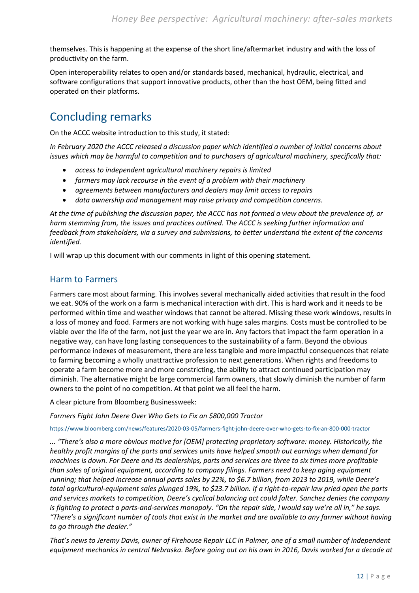themselves. This is happening at the expense of the short line/aftermarket industry and with the loss of productivity on the farm.

Open interoperability relates to open and/or standards based, mechanical, hydraulic, electrical, and software configurations that support innovative products, other than the host OEM, being fitted and operated on their platforms.

## <span id="page-15-0"></span>Concluding remarks

On the ACCC website introduction to this study, it stated:

*In February 2020 the ACCC released a discussion paper which identified a number of initial concerns about issues which may be harmful to competition and to purchasers of agricultural machinery, specifically that:*

- *access to independent agricultural machinery repairs is limited*
- *farmers may lack recourse in the event of a problem with their machinery*
- *agreements between manufacturers and dealers may limit access to repairs*
- *data ownership and management may raise privacy and competition concerns.*

*At the time of publishing the discussion paper, the ACCC has not formed a view about the prevalence of, or harm stemming from, the issues and practices outlined. The ACCC is seeking further information and feedback from stakeholders, via a survey and submissions, to better understand the extent of the concerns identified.*

I will wrap up this document with our comments in light of this opening statement.

### <span id="page-15-1"></span>Harm to Farmers

Farmers care most about farming. This involves several mechanically aided activities that result in the food we eat. 90% of the work on a farm is mechanical interaction with dirt. This is hard work and it needs to be performed within time and weather windows that cannot be altered. Missing these work windows, results in a loss of money and food. Farmers are not working with huge sales margins. Costs must be controlled to be viable over the life of the farm, not just the year we are in. Any factors that impact the farm operation in a negative way, can have long lasting consequences to the sustainability of a farm. Beyond the obvious performance indexes of measurement, there are less tangible and more impactful consequences that relate to farming becoming a wholly unattractive profession to next generations. When rights and freedoms to operate a farm become more and more constricting, the ability to attract continued participation may diminish. The alternative might be large commercial farm owners, that slowly diminish the number of farm owners to the point of no competition. At that point we all feel the harm.

A clear picture from Bloomberg Businessweek:

*Farmers Fight John Deere Over Who Gets to Fix an \$800,000 Tractor*

<https://www.bloomberg.com/news/features/2020-03-05/farmers-fight-john-deere-over-who-gets-to-fix-an-800-000-tractor>

*... "There's also a more obvious motive for [OEM] protecting proprietary software: money. Historically, the healthy profit margins of the parts and services units have helped smooth out earnings when demand for machines is down. For Deere and its dealerships, parts and services are three to six times more profitable than sales of original equipment, according to company filings. Farmers need to keep aging equipment running; that helped increase annual parts sales by 22%, to \$6.7 billion, from 2013 to 2019, while Deere's total agricultural-equipment sales plunged 19%, to \$23.7 billion. If a right-to-repair law pried open the parts and services markets to competition, Deere's cyclical balancing act could falter. Sanchez denies the company is fighting to protect a parts-and-services monopoly. "On the repair side, I would say we're all in," he says. "There's a significant number of tools that exist in the market and are available to any farmer without having to go through the dealer."*

*That's news to Jeremy Davis, owner of Firehouse Repair LLC in Palmer, one of a small number of independent equipment mechanics in central Nebraska. Before going out on his own in 2016, Davis worked for a decade at*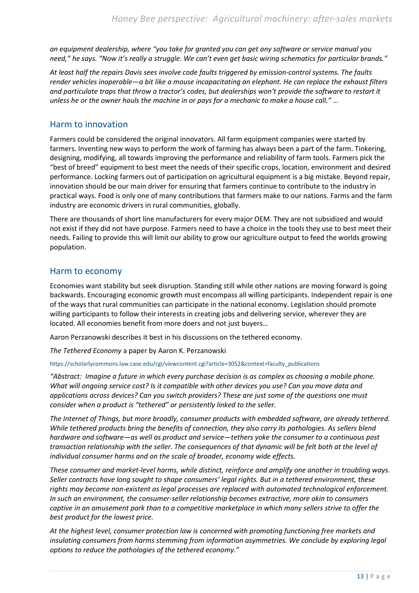*an equipment dealership, where "you take for granted you can get any software or service manual you need," he says. "Now it's really a struggle. We can't even get basic wiring schematics for particular brands."* 

*At least half the repairs Davis sees involve code faults triggered by emission-control systems. The faults render vehicles inoperable—a bit like a mouse incapacitating an elephant. He can replace the exhaust filters and particulate traps that throw a tractor's codes, but dealerships won't provide the software to restart it unless he or the owner hauls the machine in or pays for a mechanic to make a house call." …*

### <span id="page-16-0"></span>Harm to innovation

Farmers could be considered the original innovators. All farm equipment companies were started by farmers. Inventing new ways to perform the work of farming has always been a part of the farm. Tinkering, designing, modifying, all towards improving the performance and reliability of farm tools. Farmers pick the "best of breed" equipment to best meet the needs of their specific crops, location, environment and desired performance. Locking farmers out of participation on agricultural equipment is a big mistake. Beyond repair, innovation should be our main driver for ensuring that farmers continue to contribute to the industry in practical ways. Food is only one of many contributions that farmers make to our nations. Farms and the farm industry are economic drivers in rural communities, globally.

There are thousands of short line manufacturers for every major OEM. They are not subsidized and would not exist if they did not have purpose. Farmers need to have a choice in the tools they use to best meet their needs. Failing to provide this will limit our ability to grow our agriculture output to feed the worlds growing population.

### <span id="page-16-1"></span>Harm to economy

Economies want stability but seek disruption. Standing still while other nations are moving forward is going backwards. Encouraging economic growth must encompass all willing participants. Independent repair is one of the ways that rural communities can participate in the national economy. Legislation should promote willing participants to follow their interests in creating jobs and delivering service, wherever they are located. All economies benefit from more doers and not just buyers…

Aaron Perzanowski describes it best in his discussions on the tethered economy.

*The Tethered Economy* a paper by Aaron K. Perzanowski

#### [https://scholarlycommons.law.case.edu/cgi/viewcontent.cgi?article=3052&context=faculty\\_publications](https://scholarlycommons.law.case.edu/cgi/viewcontent.cgi?article=3052&context=faculty_publications)

*"Abstract: Imagine a future in which every purchase decision is as complex as choosing a mobile phone. What will ongoing service cost? Is it compatible with other devices you use? Can you move data and applications across devices? Can you switch providers? These are just some of the questions one must consider when a product is "tethered" or persistently linked to the seller.* 

*The Internet of Things, but more broadly, consumer products with embedded software, are already tethered. While tethered products bring the benefits of connection, they also carry its pathologies. As sellers blend hardware and software—as well as product and service—tethers yoke the consumer to a continuous post transaction relationship with the seller. The consequences of that dynamic will be felt both at the level of individual consumer harms and on the scale of broader, economy wide effects.* 

*These consumer and market-level harms, while distinct, reinforce and amplify one another in troubling ways. Seller contracts have long sought to shape consumers' legal rights. But in a tethered environment, these rights may become non-existent as legal processes are replaced with automated technological enforcement. In such an environment, the consumer-seller relationship becomes extractive, more akin to consumers captive in an amusement park than to a competitive marketplace in which many sellers strive to offer the best product for the lowest price.* 

*At the highest level, consumer protection law is concerned with promoting functioning free markets and insulating consumers from harms stemming from information asymmetries. We conclude by exploring legal options to reduce the pathologies of the tethered economy."*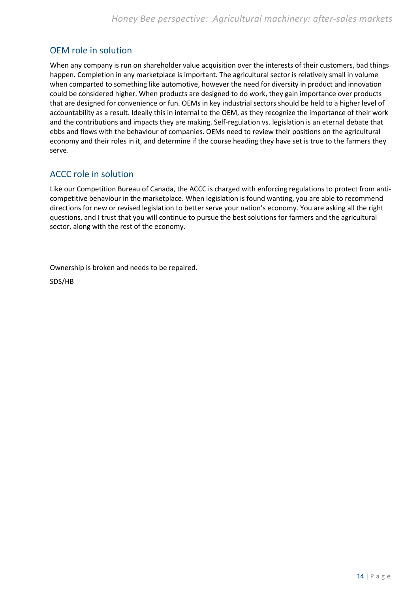### <span id="page-17-0"></span>OEM role in solution

When any company is run on shareholder value acquisition over the interests of their customers, bad things happen. Completion in any marketplace is important. The agricultural sector is relatively small in volume when comparted to something like automotive, however the need for diversity in product and innovation could be considered higher. When products are designed to do work, they gain importance over products that are designed for convenience or fun. OEMs in key industrial sectors should be held to a higher level of accountability as a result. Ideally this in internal to the OEM, as they recognize the importance of their work and the contributions and impacts they are making. Self-regulation vs. legislation is an eternal debate that ebbs and flows with the behaviour of companies. OEMs need to review their positions on the agricultural economy and their roles in it, and determine if the course heading they have set is true to the farmers they serve.

### <span id="page-17-1"></span>ACCC role in solution

Like our Competition Bureau of Canada, the ACCC is charged with enforcing regulations to protect from anticompetitive behaviour in the marketplace. When legislation is found wanting, you are able to recommend directions for new or revised legislation to better serve your nation's economy. You are asking all the right questions, and I trust that you will continue to pursue the best solutions for farmers and the agricultural sector, along with the rest of the economy.

Ownership is broken and needs to be repaired.

SDS/HB